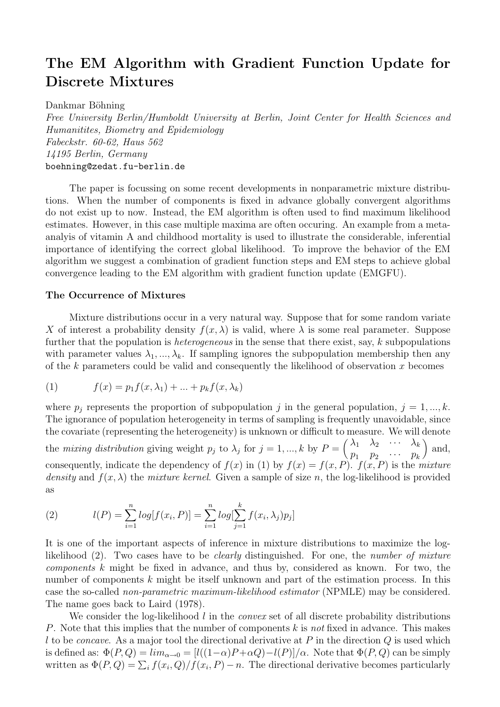# The EM Algorithm with Gradient Function Update for Discrete Mixtures

Dankmar Böhning

Free University Berlin/Humboldt University at Berlin, Joint Center for Health Sciences and Humanitites, Biometry and Epidemiology Fabeckstr. 60-62, Haus 562 14195 Berlin, Germany boehning@zedat.fu-berlin.de

The paper is focussing on some recent developments in nonparametric mixture distributions. When the number of components is fixed in advance globally convergent algorithms do not exist up to now. Instead, the EM algorithm is often used to find maximum likelihood estimates. However, in this case multiple maxima are often occuring. An example from a metaanalyis of vitamin A and childhood mortality is used to illustrate the considerable, inferential importance of identifying the correct global likelihood. To improve the behavior of the EM algorithm we suggest a combination of gradient function steps and EM steps to achieve global convergence leading to the EM algorithm with gradient function update (EMGFU).

### The Occurrence of Mixtures

Mixture distributions occur in a very natural way. Suppose that for some random variate X of interest a probability density  $f(x, \lambda)$  is valid, where  $\lambda$  is some real parameter. Suppose further that the population is *heterogeneous* in the sense that there exist, say, k subpopulations with parameter values  $\lambda_1, ..., \lambda_k$ . If sampling ignores the subpopulation membership then any of the k parameters could be valid and consequently the likelihood of observation  $x$  becomes

(1) 
$$
f(x) = p_1 f(x, \lambda_1) + ... + p_k f(x, \lambda_k)
$$

where  $p_j$  represents the proportion of subpopulation j in the general population,  $j = 1, ..., k$ . The ignorance of population heterogeneity in terms of sampling is frequently unavoidable, since the covariate (representing the heterogeneity) is unknown or difficult to measure. We will denote the mixing distribution giving weight  $p_j$  to  $\lambda_j$  for  $j = 1, ..., k$  by  $P =$  $\lambda_1$   $\lambda_2$   $\cdots$   $\lambda_k$  $p_1$   $p_2$   $\cdots$   $p_k$  $\frac{a}{b}$ and, consequently, indicate the dependency of  $f(x)$  in (1) by  $f(x) = f(x, P)$ .  $f(x, P)$  is the mixture density and  $f(x, \lambda)$  the mixture kernel. Given a sample of size n, the log-likelihood is provided as

(2) 
$$
l(P) = \sum_{i=1}^{n} log[f(x_i, P)] = \sum_{i=1}^{n} log[\sum_{j=1}^{k} f(x_i, \lambda_j) p_j]
$$

It is one of the important aspects of inference in mixture distributions to maximize the loglikelihood (2). Two cases have to be *clearly* distinguished. For one, the *number of mixture* components k might be fixed in advance, and thus by, considered as known. For two, the number of components k might be itself unknown and part of the estimation process. In this case the so-called non-parametric maximum-likelihood estimator (NPMLE) may be considered. The name goes back to Laird (1978).

We consider the log-likelihood  $l$  in the *convex* set of all discrete probability distributions P. Note that this implies that the number of components k is not fixed in advance. This makes l to be *concave*. As a major tool the directional derivative at P in the direction  $Q$  is used which is defined as:  $\Phi(P,Q) = \lim_{\alpha \to 0} = [l((1-\alpha)P + \alpha Q) - l(P)]/\alpha$ . Note that  $\Phi(P,Q)$  can be simply written as  $\Phi(P,Q) = \sum_i f(x_i,Q)/f(x_i,P) - n$ . The directional derivative becomes particularly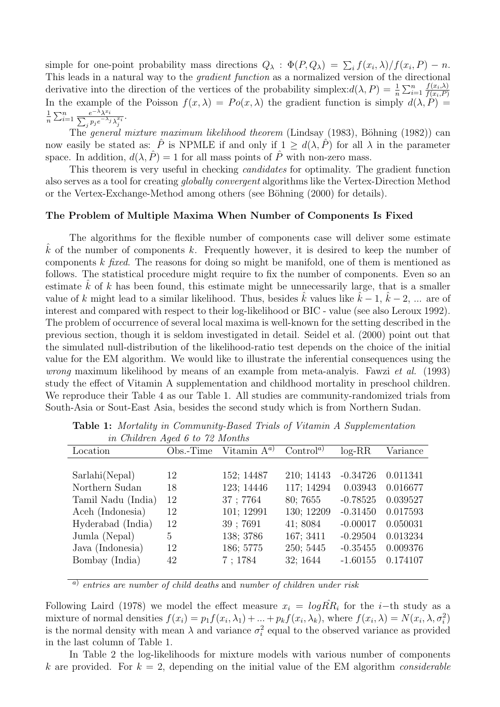simple for one-point probability mass directions  $Q_{\lambda}$ :  $\Phi(P,Q_{\lambda}) = \sum_i f(x_i,\lambda)/f(x_i,P) - n$ . This leads in a natural way to the gradient function as a normalized version of the directional derivative into the direction of the vertices of the probability simplex: $d(\lambda, P) = \frac{1}{n}$  $\sum_{i=1}^n \frac{f(x_i,\lambda)}{f(x_i,P)}$  $f(x_i,P)$ In the example of the Poisson  $f(x, \lambda) = Po(x, \lambda)$  the gradient function is simply  $d(\lambda, P) =$ 1 n  $\sum_{i=1}^n \frac{e^{-\lambda} \lambda^{x_i}}{\sum_{n \cdot e^{-\lambda} i}}$  $\frac{e^{-\lambda}\lambda^{x_{i}}}{i^{p_{j}e^{-\lambda_{j}}\lambda_{j}^{x_{i}}}}.$ 

The general mixture maximum likelihood theorem (Lindsay  $(1983)$ , Böhning  $(1982)$ ) can now easily be stated as:  $\hat{P}$  is NPMLE if and only if  $1 \geq d(\lambda, \hat{P})$  for all  $\lambda$  in the parameter space. In addition,  $d(\lambda, \hat{P}) = 1$  for all mass points of  $\hat{P}$  with non-zero mass.

This theorem is very useful in checking candidates for optimality. The gradient function also serves as a tool for creating globally convergent algorithms like the Vertex-Direction Method or the Vertex-Exchange-Method among others (see Böhning (2000) for details).

## The Problem of Multiple Maxima When Number of Components Is Fixed

The algorithms for the flexible number of components case will deliver some estimate  $k$  of the number of components  $k$ . Frequently however, it is desired to keep the number of components  $k$  fixed. The reasons for doing so might be manifold, one of them is mentioned as follows. The statistical procedure might require to fix the number of components. Even so an estimate  $k$  of  $k$  has been found, this estimate might be unnecessarily large, that is a smaller value of k might lead to a similar likelihood. Thus, besides  $\hat{k}$  values like  $\hat{k} - 1$ ,  $\hat{k} - 2$ , ... are of interest and compared with respect to their log-likelihood or BIC - value (see also Leroux 1992). The problem of occurrence of several local maxima is well-known for the setting described in the previous section, though it is seldom investigated in detail. Seidel et al. (2000) point out that the simulated null-distribution of the likelihood-ratio test depends on the choice of the initial value for the EM algorithm. We would like to illustrate the inferential consequences using the wrong maximum likelihood by means of an example from meta-analyis. Fawzi et al. (1993) study the effect of Vitamin A supplementation and childhood mortality in preschool children. We reproduce their Table 4 as our Table 1. All studies are community-randomized trials from South-Asia or Sout-East Asia, besides the second study which is from Northern Sudan.

| in Children Aged b to 72 Months |              |                 |                      |            |          |  |
|---------------------------------|--------------|-----------------|----------------------|------------|----------|--|
| Location                        | $Obs.$ -Time | Vitamin $A^{a}$ | Control <sup>a</sup> | $log-RR$   | Variance |  |
|                                 |              |                 |                      |            |          |  |
| Sarlahi(Nepal)                  | 12           | 152; 14487      | 210; 14143           | $-0.34726$ | 0.011341 |  |
| Northern Sudan                  | 18           | 123; 14446      | 117; 14294           | 0.03943    | 0.016677 |  |
| Tamil Nadu (India)              | 12           | 37:7764         | 80; 7655             | $-0.78525$ | 0.039527 |  |
| Aceh (Indonesia)                | 12           | 101; 12991      | 130; 12209           | $-0.31450$ | 0.017593 |  |
| Hyderabad (India)               | 12           | 39:7691         | 41; 8084             | $-0.00017$ | 0.050031 |  |
| Jumla (Nepal)                   | 5            | 138; 3786       | 167; 3411            | $-0.29504$ | 0.013234 |  |
| Java (Indonesia)                | 12           | 186; 5775       | 250; 5445            | $-0.35455$ | 0.009376 |  |
| Bombay (India)                  | 42           | 7:1784          | 32; 1644             | $-1.60155$ | 0.174107 |  |
|                                 |              |                 |                      |            |          |  |

Table 1: Mortality in Community-Based Trials of Vitamin A Supplementation in Children Aged 6 to 72 Months

 $a)$  entries are number of child deaths and number of children under risk

Following Laird (1978) we model the effect measure  $x_i = log \hat{R} R_i$  for the *i*-th study as a mixture of normal densities  $f(x_i) = p_1 f(x_i, \lambda_1) + ... + p_k f(x_i, \lambda_k)$ , where  $f(x_i, \lambda) = N(x_i, \lambda, \sigma_i^2)$ is the normal density with mean  $\lambda$  and variance  $\sigma_i^2$  equal to the observed variance as provided in the last column of Table 1.

In Table 2 the log-likelihoods for mixture models with various number of components k are provided. For  $k = 2$ , depending on the initial value of the EM algorithm *considerable*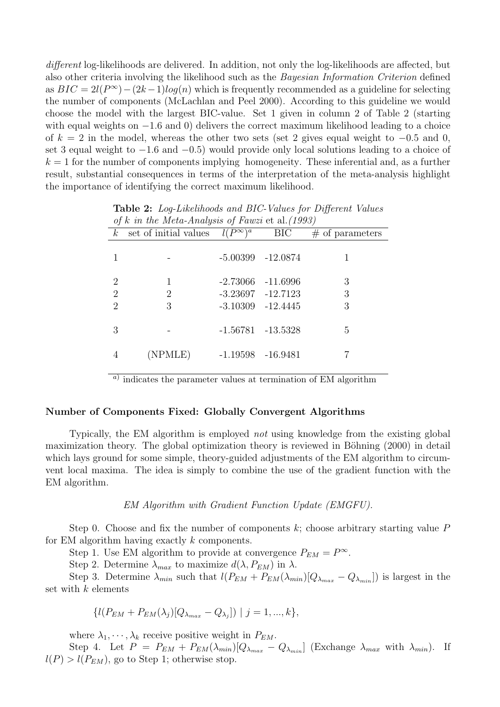different log-likelihoods are delivered. In addition, not only the log-likelihoods are affected, but also other criteria involving the likelihood such as the Bayesian Information Criterion defined as  $BIC = 2l(P^{\infty}) - (2k-1)log(n)$  which is frequently recommended as a guideline for selecting the number of components (McLachlan and Peel 2000). According to this guideline we would choose the model with the largest BIC-value. Set 1 given in column 2 of Table 2 (starting with equal weights on −1.6 and 0) delivers the correct maximum likelihood leading to a choice of  $k = 2$  in the model, whereas the other two sets (set 2 gives equal weight to  $-0.5$  and 0, set 3 equal weight to −1.6 and −0.5) would provide only local solutions leading to a choice of  $k = 1$  for the number of components implying homogeneity. These inferential and, as a further result, substantial consequences in terms of the interpretation of the meta-analysis highlight the importance of identifying the correct maximum likelihood.

| 0) N in the meta-Analysis 0) Fawzi et di (1990) |                       |                                |                       |                    |  |  |  |
|-------------------------------------------------|-----------------------|--------------------------------|-----------------------|--------------------|--|--|--|
| $\boldsymbol{k}$                                | set of initial values | $l(P^{\infty})^{\overline{a}}$ | <b>BIC</b>            | $\#$ of parameters |  |  |  |
|                                                 |                       |                                | $-5.00399$ $-12.0874$ |                    |  |  |  |
| $\overline{2}$                                  |                       |                                | $-2.73066$ $-11.6996$ | 3                  |  |  |  |
| $\overline{2}$                                  | 2                     |                                | $-3.23697$ $-12.7123$ | 3                  |  |  |  |
| $\overline{2}$                                  | 3                     |                                | $-3.10309$ $-12.4445$ | 3                  |  |  |  |
| 3                                               |                       |                                | $-1.56781$ $-13.5328$ | 5                  |  |  |  |
|                                                 | (NPMLE)               | $-1.19598$ $-16.9481$          |                       |                    |  |  |  |

Table 2: Log-Likelihoods and BIC-Values for Different Values of k in the Meta-Analysis of Fawzi et al.  $(1993)$ 

<sup>a)</sup> indicates the parameter values at termination of EM algorithm

# Number of Components Fixed: Globally Convergent Algorithms

Typically, the EM algorithm is employed not using knowledge from the existing global maximization theory. The global optimization theory is reviewed in Böhning  $(2000)$  in detail which lays ground for some simple, theory-guided adjustments of the EM algorithm to circumvent local maxima. The idea is simply to combine the use of the gradient function with the EM algorithm.

EM Algorithm with Gradient Function Update (EMGFU).

Step 0. Choose and fix the number of components  $k$ ; choose arbitrary starting value  $P$ for EM algorithm having exactly k components.

Step 1. Use EM algorithm to provide at convergence  $P_{EM} = P^{\infty}$ .

Step 2. Determine  $\lambda_{max}$  to maximize  $d(\lambda, P_{EM})$  in  $\lambda$ .

Step 3. Determine  $\lambda_{min}$  such that  $l(P_{EM} + P_{EM}(\lambda_{min})[Q_{\lambda_{max}} - Q_{\lambda_{min}}])$  is largest in the set with  $k$  elements

$$
\{l(P_{EM} + P_{EM}(\lambda_j)[Q_{\lambda_{max}} - Q_{\lambda_j}]) \mid j = 1, ..., k\},\
$$

where  $\lambda_1, \dots, \lambda_k$  receive positive weight in  $P_{EM}$ .

Step 4. Let  $P = P_{EM} + P_{EM}(\lambda_{min})[Q_{\lambda_{max}} - Q_{\lambda_{min}}]$  (Exchange  $\lambda_{max}$  with  $\lambda_{min}$ ). If  $l(P) > l(P_{EM})$ , go to Step 1; otherwise stop.